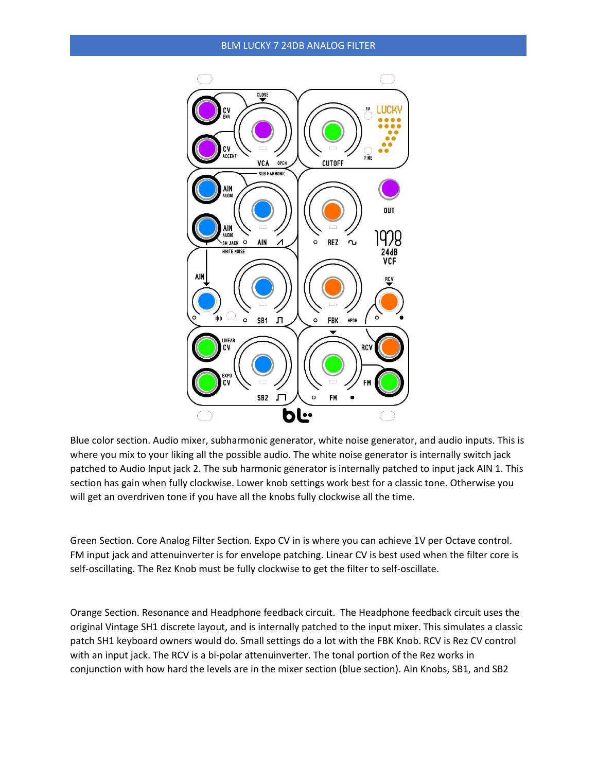## BLM LUCKY 7 24DB ANALOG FILTER



Blue color section. Audio mixer, subharmonic generator, white noise generator, and audio inputs. This is where you mix to your liking all the possible audio. The white noise generator is internally switch jack patched to Audio Input jack 2. The sub harmonic generator is internally patched to input jack AIN 1. This section has gain when fully clockwise. Lower knob settings work best for a classic tone. Otherwise you will get an overdriven tone if you have all the knobs fully clockwise all the time.

Green Section. Core Analog Filter Section. Expo CV in is where you can achieve 1V per Octave control. FM input jack and attenuinverter is for envelope patching. Linear CV is best used when the filter core is self-oscillating. The Rez Knob must be fully clockwise to get the filter to self-oscillate.

Orange Section. Resonance and Headphone feedback circuit. The Headphone feedback circuit uses the original Vintage SH1 discrete layout, and is internally patched to the input mixer. This simulates a classic patch SH1 keyboard owners would do. Small settings do a lot with the FBK Knob. RCV is Rez CV control with an input jack. The RCV is a bi-polar attenuinverter. The tonal portion of the Rez works in conjunction with how hard the levels are in the mixer section (blue section). Ain Knobs, SB1, and SB2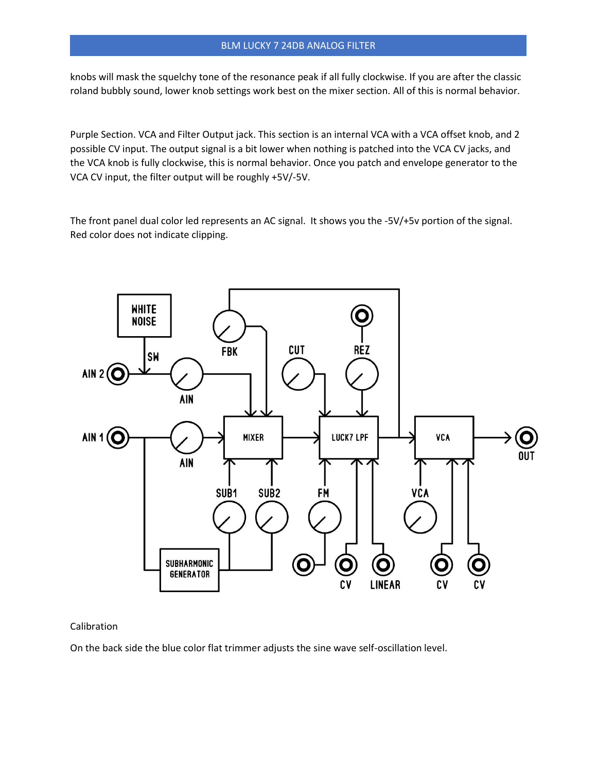## BLM LUCKY 7 24DB ANALOG FILTER

knobs will mask the squelchy tone of the resonance peak if all fully clockwise. If you are after the classic roland bubbly sound, lower knob settings work best on the mixer section. All of this is normal behavior.

Purple Section. VCA and Filter Output jack. This section is an internal VCA with a VCA offset knob, and 2 possible CV input. The output signal is a bit lower when nothing is patched into the VCA CV jacks, and the VCA knob is fully clockwise, this is normal behavior. Once you patch and envelope generator to the VCA CV input, the filter output will be roughly +5V/-5V.

The front panel dual color led represents an AC signal. It shows you the -5V/+5v portion of the signal. Red color does not indicate clipping.



## Calibration

On the back side the blue color flat trimmer adjusts the sine wave self-oscillation level.